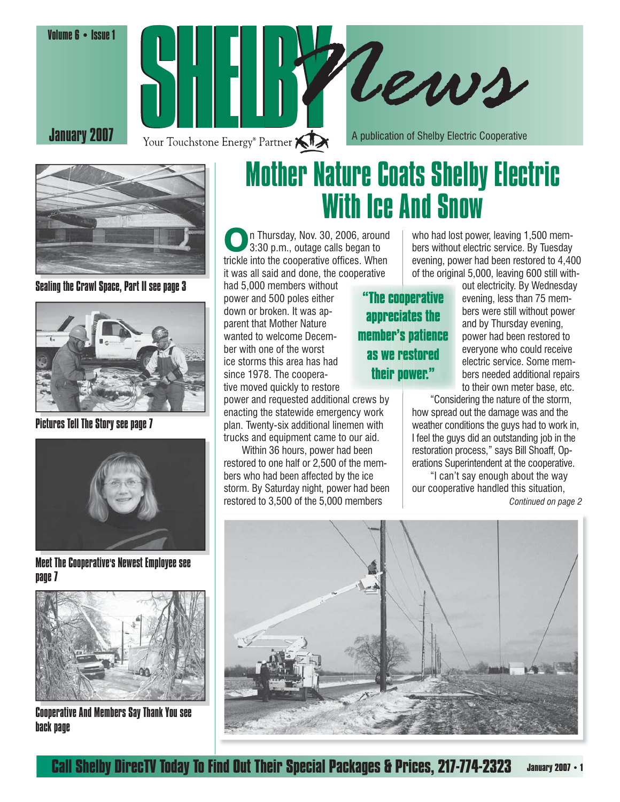Volume 6 • Issue 1







Sealing the Crawl Space, Part II see page 3



Pictures Tell The Story see page 7



Meet The Cooperative's Newest Employee see page 7



Cooperative And Members Say Thank You see back page

## Mother Nature Coats Shelby Electric With Ice And Snow

On Thursday, Nov. 30, 2006, around<br>3:30 p.m., outage calls began to trickle into the cooperative offices. When it was all said and done, the cooperative

had 5,000 members without power and 500 poles either down or broken. It was apparent that Mother Nature wanted to welcome December with one of the worst ice storms this area has had since 1978. The cooperative moved quickly to restore

power and requested additional crews by enacting the statewide emergency work plan. Twenty-six additional linemen with trucks and equipment came to our aid.

 Within 36 hours, power had been restored to one half or 2,500 of the members who had been affected by the ice storm. By Saturday night, power had been restored to 3,500 of the 5,000 members

who had lost power, leaving 1,500 members without electric service. By Tuesday evening, power had been restored to 4,400 of the original 5,000, leaving 600 still with-

"The cooperative appreciates the member's patience as we restored their nower."

out electricity. By Wednesday evening, less than 75 members were still without power and by Thursday evening, power had been restored to everyone who could receive electric service. Some members needed additional repairs to their own meter base, etc.

 "Considering the nature of the storm, how spread out the damage was and the weather conditions the guys had to work in, I feel the guys did an outstanding job in the restoration process," says Bill Shoaff, Operations Superintendent at the cooperative. "I can't say enough about the way our cooperative handled this situation,

*Continued on page 2*

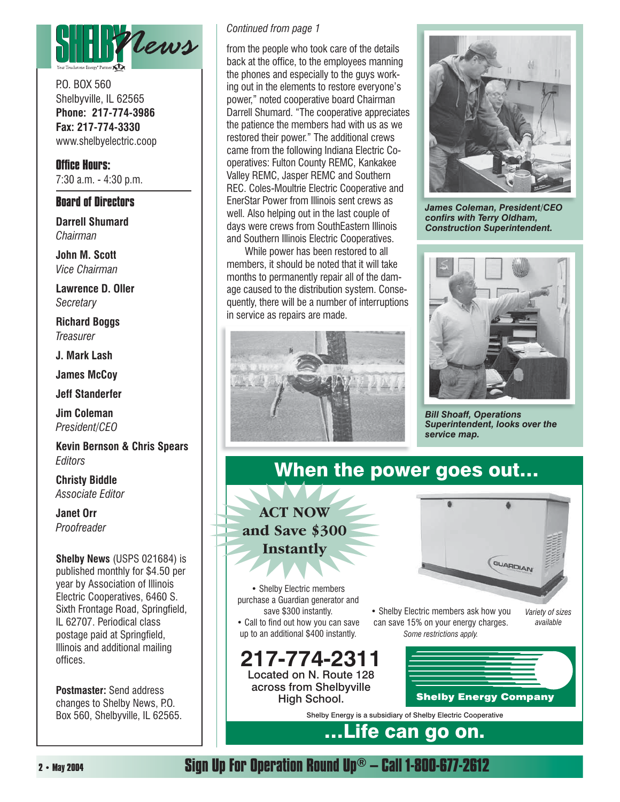

P.O. BOX 560 Shelbyville, IL 62565 **Phone: 217-774-3986 Fax: 217-774-3330** www.shelbyelectric.coop

**Office Hours:** 7:30 a.m. - 4:30 p.m.

#### **Board of Directors**

**Darrell Shumard** *Chairman*

**John M. Scott** *Vice Chairman*

**Lawrence D. Oller** *Secretary*

**Richard Boggs** *Treasurer*

**J. Mark Lash**

**James McCoy**

**Jeff Standerfer**

**Jim Coleman** *President/CEO*

**Kevin Bernson & Chris Spears** *Editors*

**Christy Biddle** *Associate Editor*

**Janet Orr** *Proofreader*

**Shelby News** (USPS 021684) is published monthly for \$4.50 per year by Association of Illinois Electric Cooperatives, 6460 S. Sixth Frontage Road, Springfield, IL 62707. Periodical class postage paid at Springfield, Illinois and additional mailing offices.

**Postmaster:** Send address changes to Shelby News, P.O. Box 560, Shelbyville, IL 62565.

#### *Continued from page 1*

from the people who took care of the details back at the office, to the employees manning the phones and especially to the guys working out in the elements to restore everyone's power," noted cooperative board Chairman Darrell Shumard. "The cooperative appreciates the patience the members had with us as we restored their power." The additional crews came from the following Indiana Electric Cooperatives: Fulton County REMC, Kankakee Valley REMC, Jasper REMC and Southern REC. Coles-Moultrie Electric Cooperative and EnerStar Power from Illinois sent crews as well. Also helping out in the last couple of days were crews from SouthEastern Illinois and Southern Illinois Electric Cooperatives.

 While power has been restored to all members, it should be noted that it will take months to permanently repair all of the damage caused to the distribution system. Consequently, there will be a number of interruptions in service as repairs are made.





*James Coleman, President/CEO*  confirs with Terry Oldham, *Construction Superintendent.*



*Bill Shoaff, Operations Superintendent, looks over the service map.*

### When the power goes out...

**ACT NOW and Save \$300 Instantly**

• Shelby Electric members purchase a Guardian generator and save \$300 instantly.

• Call to find out how you can save up to an additional \$400 instantly.

**217-774-2311** Located on N. Route 128 across from Shelbyville High School.



• Shelby Electric members ask how you can save 15% on your energy charges. *Some restrictions apply.*

*Variety of sizes available*



Shelby Energy is a subsidiary of Shelby Electric Cooperative

## …Life can go on.

**Sign Up For Operation Round Up® – Call 1-800-677-2612**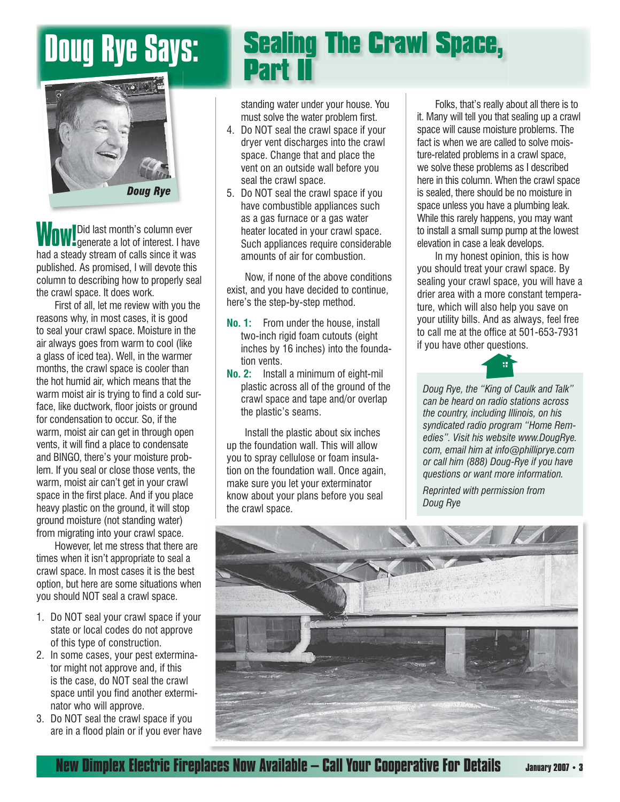

WOW! Did last month's column ever<br>WOW! generate a lot of interest. I have had a steady stream of calls since it was published. As promised, I will devote this column to describing how to properly seal the crawl space. It does work.

 First of all, let me review with you the reasons why, in most cases, it is good to seal your crawl space. Moisture in the air always goes from warm to cool (like a glass of iced tea). Well, in the warmer months, the crawl space is cooler than the hot humid air, which means that the warm moist air is trying to find a cold surface, like ductwork, floor joists or ground for condensation to occur. So, if the warm, moist air can get in through open vents, it will find a place to condensate and BINGO, there's your moisture problem. If you seal or close those vents, the warm, moist air can't get in your crawl space in the first place. And if you place heavy plastic on the ground, it will stop ground moisture (not standing water) from migrating into your crawl space.

 However, let me stress that there are times when it isn't appropriate to seal a crawl space. In most cases it is the best option, but here are some situations when you should NOT seal a crawl space.

- 1. Do NOT seal your crawl space if your state or local codes do not approve of this type of construction.
- 2. In some cases, your pest exterminator might not approve and, if this is the case, do NOT seal the crawl space until you find another exterminator who will approve.
- 3. Do NOT seal the crawl space if you are in a flood plain or if you ever have

## Doug Rye Says: Sealing The Crawl Space, Part II

standing water under your house. You must solve the water problem first.

- 4. Do NOT seal the crawl space if your dryer vent discharges into the crawl space. Change that and place the vent on an outside wall before you seal the crawl space.
- 5. Do NOT seal the crawl space if you have combustible appliances such as a gas furnace or a gas water heater located in your crawl space. Such appliances require considerable amounts of air for combustion.

 Now, if none of the above conditions exist, and you have decided to continue, here's the step-by-step method.

- **No. 1:** From under the house, install two-inch rigid foam cutouts (eight inches by 16 inches) into the foundation vents.
- **No. 2:** Install a minimum of eight-mil plastic across all of the ground of the crawl space and tape and/or overlap the plastic's seams.

 Install the plastic about six inches up the foundation wall. This will allow you to spray cellulose or foam insulation on the foundation wall. Once again, make sure you let your exterminator know about your plans before you seal the crawl space.

 Folks, that's really about all there is to it. Many will tell you that sealing up a crawl space will cause moisture problems. The fact is when we are called to solve moisture-related problems in a crawl space, we solve these problems as I described here in this column. When the crawl space is sealed, there should be no moisture in space unless you have a plumbing leak. While this rarely happens, you may want to install a small sump pump at the lowest elevation in case a leak develops.

 In my honest opinion, this is how you should treat your crawl space. By sealing your crawl space, you will have a drier area with a more constant temperature, which will also help you save on your utility bills. And as always, feel free to call me at the office at 501-653-7931 if you have other questions.



*Doug Rye, the "King of Caulk and Talk" can be heard on radio stations across the country, including Illinois, on his syndicated radio program "Home Remedies". Visit his website www.DougRye. com, email him at info@philliprye.com or call him (888) Doug-Rye if you have questions or want more information.* 

*Reprinted with permission from Doug Rye*



**New Dimplex Electric Fireplaces Now Available – Call Your Cooperative For Details**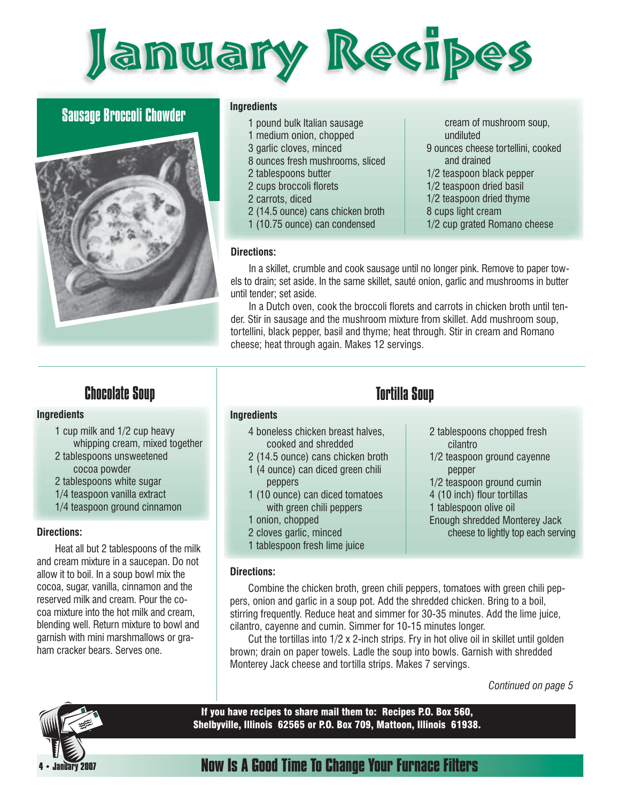

#### Sausage Broccoli Chowder



#### **Ingredients**

- 1 pound bulk Italian sausage
- 1 medium onion, chopped
- 3 garlic cloves, minced
- 8 ounces fresh mushrooms, sliced
- 2 tablespoons butter
- 2 cups broccoli florets
- 2 carrots, diced
- 2 (14.5 ounce) cans chicken broth
- 1 (10.75 ounce) can condensed

 cream of mushroom soup, undiluted 9 ounces cheese tortellini, cooked and drained

- 1/2 teaspoon black pepper
- 1/2 teaspoon dried basil
- 1/2 teaspoon dried thyme
- 8 cups light cream
- 1/2 cup grated Romano cheese

#### **Directions:**

 In a skillet, crumble and cook sausage until no longer pink. Remove to paper towels to drain; set aside. In the same skillet, sauté onion, garlic and mushrooms in butter until tender; set aside.

In a Dutch oven, cook the broccoli florets and carrots in chicken broth until tender. Stir in sausage and the mushroom mixture from skillet. Add mushroom soup, tortellini, black pepper, basil and thyme; heat through. Stir in cream and Romano cheese; heat through again. Makes 12 servings.

#### Chocolate Soup

#### **Ingredients**

- 1 cup milk and 1/2 cup heavy whipping cream, mixed together
- 2 tablespoons unsweetened
	- cocoa powder
- 2 tablespoons white sugar
- 1/4 teaspoon vanilla extract
- 1/4 teaspoon ground cinnamon

#### **Directions:**

 Heat all but 2 tablespoons of the milk and cream mixture in a saucepan. Do not allow it to boil. In a soup bowl mix the cocoa, sugar, vanilla, cinnamon and the reserved milk and cream. Pour the cocoa mixture into the hot milk and cream, blending well. Return mixture to bowl and garnish with mini marshmallows or graham cracker bears. Serves one.

#### Tortilla Soup

#### **Ingredients**

- 4 boneless chicken breast halves, cooked and shredded
- 2 (14.5 ounce) cans chicken broth
- 1 (4 ounce) can diced green chili peppers
- 1 (10 ounce) can diced tomatoes with green chili peppers
- 1 onion, chopped
- 2 cloves garlic, minced
- 1 tablespoon fresh lime juice

#### **Directions:**

 Combine the chicken broth, green chili peppers, tomatoes with green chili peppers, onion and garlic in a soup pot. Add the shredded chicken. Bring to a boil, stirring frequently. Reduce heat and simmer for 30-35 minutes. Add the lime juice, cilantro, cayenne and cumin. Simmer for 10-15 minutes longer.

 Cut the tortillas into 1/2 x 2-inch strips. Fry in hot olive oil in skillet until golden brown; drain on paper towels. Ladle the soup into bowls. Garnish with shredded Monterey Jack cheese and tortilla strips. Makes 7 servings.

*Continued on page 5*



If you have recipes to share mail them to: Recipes P.O. Box 560, Shelbyville, Illinois 62565 or P.O. Box 709, Mattoon, Illinois 61938.

#### **Now Is A Good Time To Change Your Furnace Filters**

- 2 tablespoons chopped fresh cilantro
- 1/2 teaspoon ground cayenne pepper
- 1/2 teaspoon ground cumin
- 4 (10 inch) flour tortillas
- 1 tablespoon olive oil
- Enough shredded Monterey Jack cheese to lightly top each serving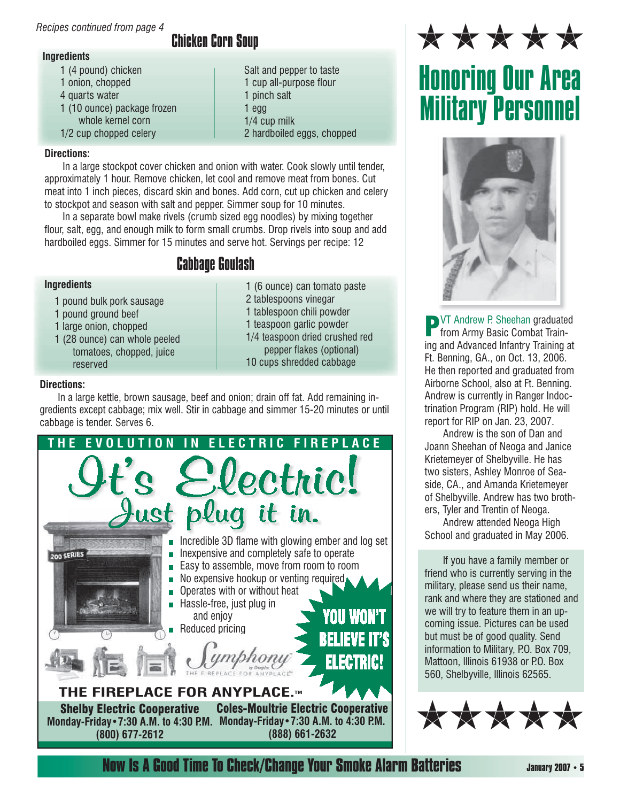#### *Recipes continued from page 4*

## Chicken Corn Soup

 Salt and pepper to taste 1 cup all-purpose flour

2 hardboiled eggs, chopped

 1 (6 ounce) can tomato paste 2 tablespoons vinegar 1 tablespoon chili powder 1 teaspoon garlic powder 1/4 teaspoon dried crushed red pepper flakes (optional) 10 cups shredded cabbage

 1 pinch salt 1 egg 1/4 cup milk

- **Ingredients**
	- 1 (4 pound) chicken
	- 1 onion, chopped
	- 4 quarts water
	- 1 (10 ounce) package frozen whole kernel corn
	- 1/2 cup chopped celery

#### **Directions:**

 In a large stockpot cover chicken and onion with water. Cook slowly until tender, approximately 1 hour. Remove chicken, let cool and remove meat from bones. Cut meat into 1 inch pieces, discard skin and bones. Add corn, cut up chicken and celery to stockpot and season with salt and pepper. Simmer soup for 10 minutes.

 In a separate bowl make rivels (crumb sized egg noodles) by mixing together flour, salt, egg, and enough milk to form small crumbs. Drop rivels into soup and add hardboiled eggs. Simmer for 15 minutes and serve hot. Servings per recipe: 12

#### Cabbage Goulash

#### **Ingredients**

- 1 pound bulk pork sausage
- 1 pound ground beef
- 1 large onion, chopped
- 1 (28 ounce) can whole peeled tomatoes, chopped, juice reserved

#### **Directions:**

 In a large kettle, brown sausage, beef and onion; drain off fat. Add remaining ingredients except cabbage; mix well. Stir in cabbage and simmer 15-20 minutes or until cabbage is tender. Serves 6.



\*\*\*\*\*

# Honoring Our Area Military Personnel



**PVT** Andrew P. Sheehan graduated<br>from Army Basic Combat Training and Advanced Infantry Training at Ft. Benning, GA., on Oct. 13, 2006. He then reported and graduated from Airborne School, also at Ft. Benning. Andrew is currently in Ranger Indoctrination Program (RIP) hold. He will report for RIP on Jan. 23, 2007.

 Andrew is the son of Dan and Joann Sheehan of Neoga and Janice Krietemeyer of Shelbyville. He has two sisters, Ashley Monroe of Seaside, CA., and Amanda Krietemeyer of Shelbyville. Andrew has two brothers, Tyler and Trentin of Neoga.

 Andrew attended Neoga High School and graduated in May 2006.

 If you have a family member or friend who is currently serving in the military, please send us their name, rank and where they are stationed and we will try to feature them in an upcoming issue. Pictures can be used but must be of good quality. Send information to Military, P.O. Box 709, Mattoon, Illinois 61938 or P.O. Box 560, Shelbyville, Illinois 62565.



**Now Is A Good Time To Check/Change Your Smoke Alarm Batteries** *January 2007 • 5*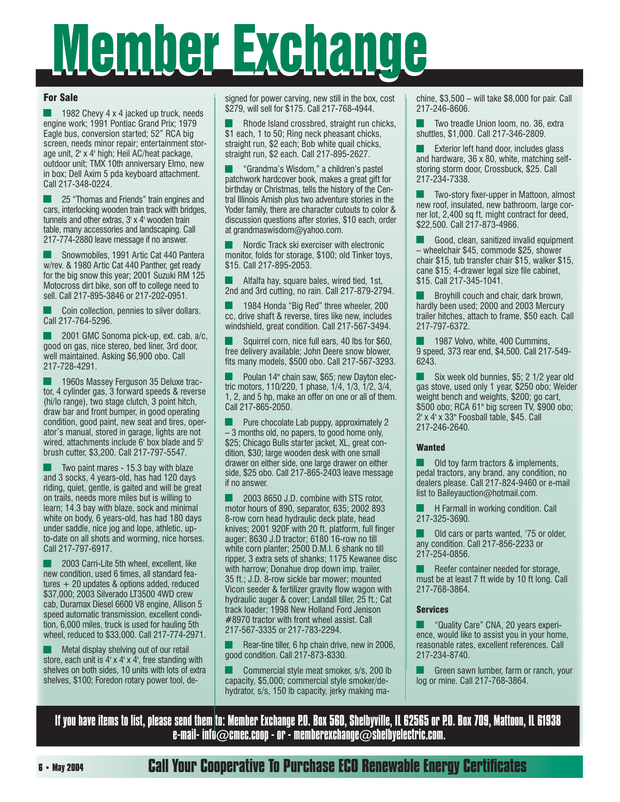# Member Exchange

#### For Sale

 1982 Chevy 4 x 4 jacked up truck, needs engine work; 1991 Pontiac Grand Prix; 1979 Eagle bus, conversion started; 52" RCA big screen, needs minor repair; entertainment storage unit, 2' x 4' high; Heil AC/heat package, outdoor unit; TMX 10th anniversary Elmo, new in box; Dell Axim 5 pda keyboard attachment. Call 217-348-0224.

 25 "Thomas and Friends" train engines and cars, interlocking wooden train track with bridges, tunnels and other extras, 3' x 4' wooden train table, many accessories and landscaping. Call 217-774-2880 leave message if no answer.

 Snowmobiles, 1991 Artic Cat 440 Pantera w/rev. & 1980 Artic Cat 440 Panther, get ready for the big snow this year; 2001 Suzuki RM 125 Motocross dirt bike, son off to college need to sell. Call 217-895-3846 or 217-202-0951.

 Coin collection, pennies to silver dollars. Call 217-764-5296.

 2001 GMC Sonoma pick-up, ext. cab, a/c, good on gas, nice stereo, bed liner, 3rd door, well maintained. Asking \$6,900 obo. Call 217-728-4291.

 1960s Massey Ferguson 35 Deluxe tractor, 4 cylinder gas, 3 forward speeds & reverse (hi/lo range), two stage clutch, 3 point hitch, draw bar and front bumper, in good operating condition, good paint, new seat and tires, operator's manual, stored in garage, lights are not wired, attachments include 6' box blade and 5' brush cutter, \$3,200. Call 217-797-5547.

 Two paint mares - 15.3 bay with blaze and 3 socks, 4 years-old, has had 120 days riding, quiet, gentle, is gaited and will be great on trails, needs more miles but is willing to learn; 14.3 bay with blaze, sock and minimal white on body, 6 years-old, has had 180 days under saddle, nice jog and lope, athletic, upto-date on all shots and worming, nice horses. Call 217-797-6917.

 2003 Carri-Lite 5th wheel, excellent, like new condition, used 6 times, all standard features + 20 updates & options added, reduced \$37,000; 2003 Silverado LT3500 4WD crew cab, Duramax Diesel 6600 V8 engine, Allison 5 speed automatic transmission, excellent condition, 6,000 miles, truck is used for hauling 5th wheel, reduced to \$33,000. Call 217-774-2971.

 Metal display shelving out of our retail store, each unit is 4' x 4' x 4', free standing with shelves on both sides, 10 units with lots of extra shelves, \$100; Foredon rotary power tool, designed for power carving, new still in the box, cost \$279, will sell for \$175. Call 217-768-4944.

 Rhode Island crossbred, straight run chicks, \$1 each, 1 to 50; Ring neck pheasant chicks, straight run, \$2 each; Bob white quail chicks, straight run, \$2 each. Call 217-895-2627.

 "Grandma's Wisdom," a children's pastel patchwork hardcover book, makes a great gift for birthday or Christmas, tells the history of the Central Illinois Amish plus two adventure stories in the Yoder family, there are character cutouts to color & discussion questions after stories, \$10 each, order at grandmaswisdom@yahoo.com.

 Nordic Track ski exerciser with electronic monitor, folds for storage, \$100; old Tinker toys, \$15. Call 217-895-2053.

 Alfalfa hay, square bales, wired tied, 1st, 2nd and 3rd cutting, no rain. Call 217-879-2794.

 1984 Honda "Big Red" three wheeler, 200 cc, drive shaft & reverse, tires like new, includes windshield, great condition. Call 217-567-3494.

 Squirrel corn, nice full ears, 40 lbs for \$60, free delivery available; John Deere snow blower, fits many models, \$500 obo. Call 217-567-3293.

 Poulan 14" chain saw, \$65; new Dayton electric motors, 110/220, 1 phase, 1/4, 1/3, 1/2, 3/4, 1, 2, and 5 hp, make an offer on one or all of them. Call 217-865-2050.

 Pure chocolate Lab puppy, approximately 2 – 3 months old, no papers, to good home only, \$25; Chicago Bulls starter jacket, XL, great condition, \$30; large wooden desk with one small drawer on either side, one large drawer on either side, \$25 obo. Call 217-865-2403 leave message if no answer.

 2003 8650 J.D. combine with STS rotor, motor hours of 890, separator, 635; 2002 893 8-row corn head hydraulic deck plate, head knives; 2001 920F with 20 ft. platform, full finger auger; 8630 J.D tractor; 6180 16-row no till white corn planter; 2500 D.M.I. 6 shank no till ripper, 3 extra sets of shanks; 1175 Kewanee disc with harrow; Donahue drop down imp. trailer, 35 ft.; J.D. 8-row sickle bar mower; mounted Vicon seeder & fertilizer gravity flow wagon with hydraulic auger & cover; Landall tiller, 25 ft.; Cat track loader; 1998 New Holland Ford Jenison #8970 tractor with front wheel assist. Call 217-567-3335 or 217-783-2294.

Rear-tine tiller, 6 hp chain drive, new in 2006, good condition. Call 217-873-8330.

 Commercial style meat smoker, s/s, 200 lb capacity, \$5,000; commercial style smoker/dehydrator, s/s, 150 lb capacity, jerky making machine, \$3,500 – will take \$8,000 for pair. Call 217-246-8606.

 Two treadle Union loom, no. 36, extra shuttles, \$1,000. Call 217-346-2809.

 Exterior left hand door, includes glass and hardware, 36 x 80, white, matching selfstoring storm door, Crossbuck, \$25. Call 217-234-7338.

Two-story fixer-upper in Mattoon, almost new roof, insulated, new bathroom, large corner lot, 2,400 sq ft, might contract for deed, \$22,500. Call 217-873-4966.

 Good, clean, sanitized invalid equipment – wheelchair \$45, commode \$25, shower chair \$15, tub transfer chair \$15, walker \$15, cane \$15; 4-drawer legal size file cabinet, \$15. Call 217-345-1041.

 Broyhill couch and chair, dark brown, hardly been used; 2000 and 2003 Mercury trailer hitches, attach to frame, \$50 each. Call 217-797-6372.

 1987 Volvo, white, 400 Cummins, 9 speed, 373 rear end, \$4,500. Call 217-549- 6243.

 Six week old bunnies, \$5; 2 1/2 year old gas stove, used only 1 year, \$250 obo; Weider weight bench and weights, \$200; go cart, \$500 obo; RCA 61" big screen TV, \$900 obo; 2' x 4' x 33" Foosball table, \$45. Call 217-246-2640.

#### **Wanted**

 Old toy farm tractors & implements, pedal tractors, any brand, any condition, no dealers please. Call 217-824-9460 or e-mail list to Baileyauction@hotmail.com.

 H Farmall in working condition. Call 217-325-3690.

 Old cars or parts wanted, '75 or older, any condition. Call 217-856-2233 or 217-254-0856.

 Reefer container needed for storage, must be at least 7 ft wide by 10 ft long. Call 217-768-3864.

#### Services

 "Quality Care" CNA, 20 years experience, would like to assist you in your home, reasonable rates, excellent references. Call 217-234-8740.

 Green sawn lumber, farm or ranch, your log or mine. Call 217-768-3864.

If you have items to list, please send them to: Member Exchange P.O. Box 560, Shelbyville, IL 62565 or P.O. Box 709, Mattoon, IL 61938 e-mail- info $\oslash$ cmec.coop - or - memberexchange $\oslash$ shelbyelectric.com.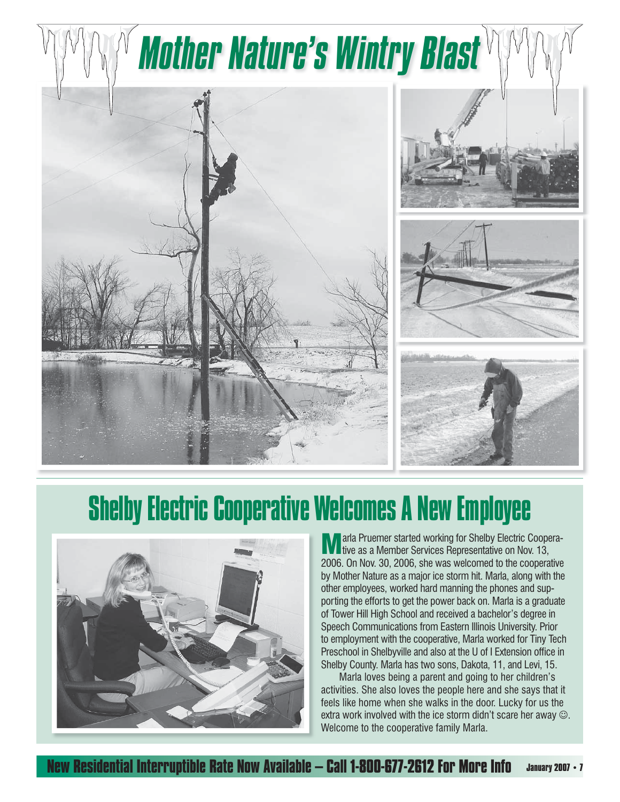

# Shelby Electric Cooperative Welcomes A New Employee



**M** arla Pruemer started working for Shelby Electric Coopera-<br>tive as a Member Services Representative on Nov. 13, 2006. On Nov. 30, 2006, she was welcomed to the cooperative by Mother Nature as a major ice storm hit. Marla, along with the other employees, worked hard manning the phones and supporting the efforts to get the power back on. Marla is a graduate of Tower Hill High School and received a bachelor's degree in Speech Communications from Eastern Illinois University. Prior to employment with the cooperative, Marla worked for Tiny Tech Preschool in Shelbyville and also at the U of I Extension office in Shelby County. Marla has two sons, Dakota, 11, and Levi, 15.

 Marla loves being a parent and going to her children's activities. She also loves the people here and she says that it feels like home when she walks in the door. Lucky for us the extra work involved with the ice storm didn't scare her away  $\odot$ . Welcome to the cooperative family Marla.